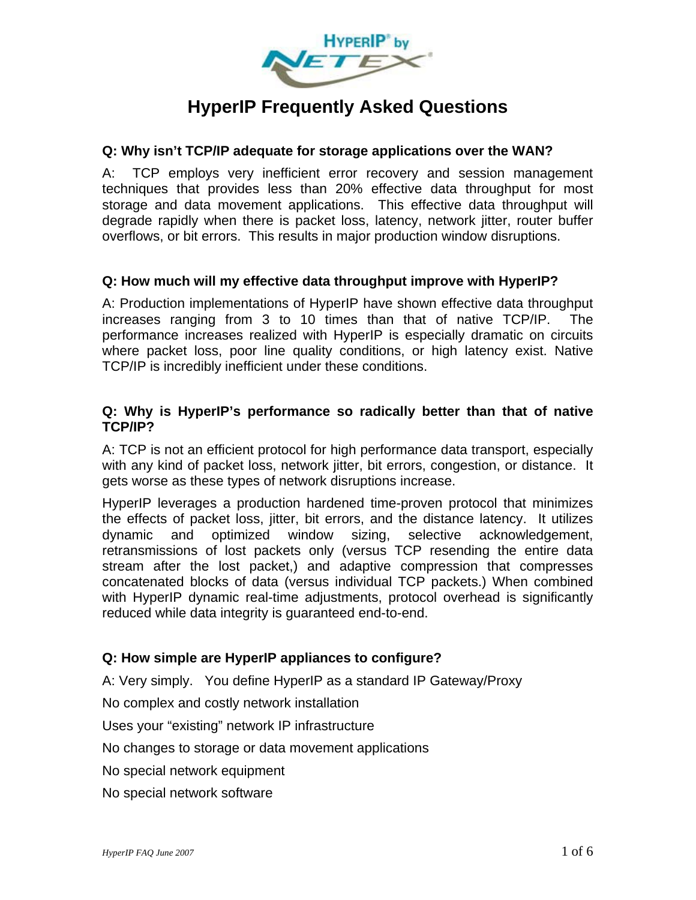

# **HyperIP Frequently Asked Questions**

#### **Q: Why isn't TCP/IP adequate for storage applications over the WAN?**

A: TCP employs very inefficient error recovery and session management techniques that provides less than 20% effective data throughput for most storage and data movement applications. This effective data throughput will degrade rapidly when there is packet loss, latency, network jitter, router buffer overflows, or bit errors. This results in major production window disruptions.

#### **Q: How much will my effective data throughput improve with HyperIP?**

A: Production implementations of HyperIP have shown effective data throughput increases ranging from 3 to 10 times than that of native TCP/IP. The performance increases realized with HyperIP is especially dramatic on circuits where packet loss, poor line quality conditions, or high latency exist. Native TCP/IP is incredibly inefficient under these conditions.

#### **Q: Why is HyperIP's performance so radically better than that of native TCP/IP?**

A: TCP is not an efficient protocol for high performance data transport, especially with any kind of packet loss, network jitter, bit errors, congestion, or distance. It gets worse as these types of network disruptions increase.

HyperIP leverages a production hardened time-proven protocol that minimizes the effects of packet loss, jitter, bit errors, and the distance latency. It utilizes dynamic and optimized window sizing, selective acknowledgement, retransmissions of lost packets only (versus TCP resending the entire data stream after the lost packet,) and adaptive compression that compresses concatenated blocks of data (versus individual TCP packets.) When combined with HyperIP dynamic real-time adjustments, protocol overhead is significantly reduced while data integrity is guaranteed end-to-end.

## **Q: How simple are HyperIP appliances to configure?**

A: Very simply. You define HyperIP as a standard IP Gateway/Proxy

No complex and costly network installation

Uses your "existing" network IP infrastructure

No changes to storage or data movement applications

No special network equipment

No special network software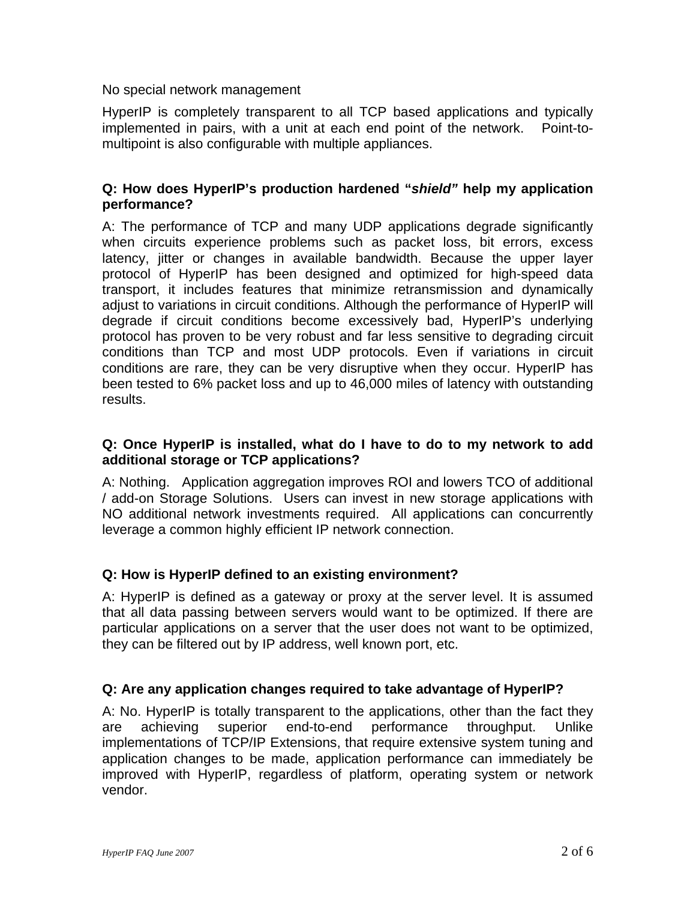#### No special network management

HyperIP is completely transparent to all TCP based applications and typically implemented in pairs, with a unit at each end point of the network. Point-tomultipoint is also configurable with multiple appliances.

#### **Q: How does HyperIP's production hardened "***shield"* **help my application performance?**

A: The performance of TCP and many UDP applications degrade significantly when circuits experience problems such as packet loss, bit errors, excess latency, jitter or changes in available bandwidth. Because the upper layer protocol of HyperIP has been designed and optimized for high-speed data transport, it includes features that minimize retransmission and dynamically adjust to variations in circuit conditions. Although the performance of HyperIP will degrade if circuit conditions become excessively bad, HyperIP's underlying protocol has proven to be very robust and far less sensitive to degrading circuit conditions than TCP and most UDP protocols. Even if variations in circuit conditions are rare, they can be very disruptive when they occur. HyperIP has been tested to 6% packet loss and up to 46,000 miles of latency with outstanding results.

## **Q: Once HyperIP is installed, what do I have to do to my network to add additional storage or TCP applications?**

A: Nothing. Application aggregation improves ROI and lowers TCO of additional / add-on Storage Solutions. Users can invest in new storage applications with NO additional network investments required. All applications can concurrently leverage a common highly efficient IP network connection.

# **Q: How is HyperIP defined to an existing environment?**

A: HyperIP is defined as a gateway or proxy at the server level. It is assumed that all data passing between servers would want to be optimized. If there are particular applications on a server that the user does not want to be optimized, they can be filtered out by IP address, well known port, etc.

# **Q: Are any application changes required to take advantage of HyperIP?**

A: No. HyperIP is totally transparent to the applications, other than the fact they are achieving superior end-to-end performance throughput. Unlike implementations of TCP/IP Extensions, that require extensive system tuning and application changes to be made, application performance can immediately be improved with HyperIP, regardless of platform, operating system or network vendor.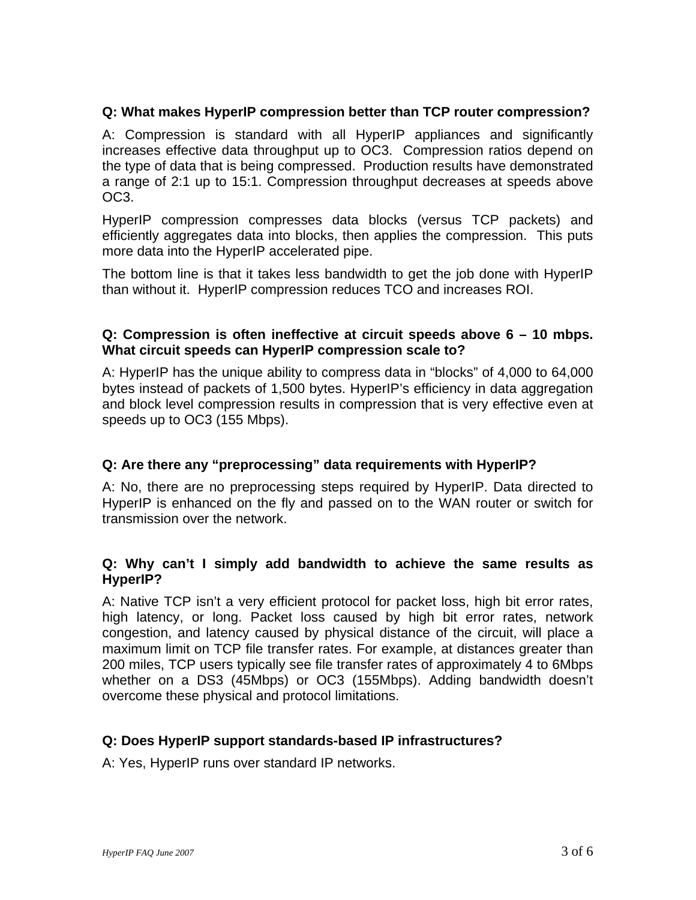## **Q: What makes HyperIP compression better than TCP router compression?**

A: Compression is standard with all HyperIP appliances and significantly increases effective data throughput up to OC3. Compression ratios depend on the type of data that is being compressed. Production results have demonstrated a range of 2:1 up to 15:1. Compression throughput decreases at speeds above OC3.

HyperIP compression compresses data blocks (versus TCP packets) and efficiently aggregates data into blocks, then applies the compression. This puts more data into the HyperIP accelerated pipe.

The bottom line is that it takes less bandwidth to get the job done with HyperIP than without it. HyperIP compression reduces TCO and increases ROI.

#### **Q: Compression is often ineffective at circuit speeds above 6 – 10 mbps. What circuit speeds can HyperIP compression scale to?**

A: HyperIP has the unique ability to compress data in "blocks" of 4,000 to 64,000 bytes instead of packets of 1,500 bytes. HyperIP's efficiency in data aggregation and block level compression results in compression that is very effective even at speeds up to OC3 (155 Mbps).

## **Q: Are there any "preprocessing" data requirements with HyperIP?**

A: No, there are no preprocessing steps required by HyperIP. Data directed to HyperIP is enhanced on the fly and passed on to the WAN router or switch for transmission over the network.

#### **Q: Why can't I simply add bandwidth to achieve the same results as HyperIP?**

A: Native TCP isn't a very efficient protocol for packet loss, high bit error rates, high latency, or long. Packet loss caused by high bit error rates, network congestion, and latency caused by physical distance of the circuit, will place a maximum limit on TCP file transfer rates. For example, at distances greater than 200 miles, TCP users typically see file transfer rates of approximately 4 to 6Mbps whether on a DS3 (45Mbps) or OC3 (155Mbps). Adding bandwidth doesn't overcome these physical and protocol limitations.

## **Q: Does HyperIP support standards-based IP infrastructures?**

A: Yes, HyperIP runs over standard IP networks.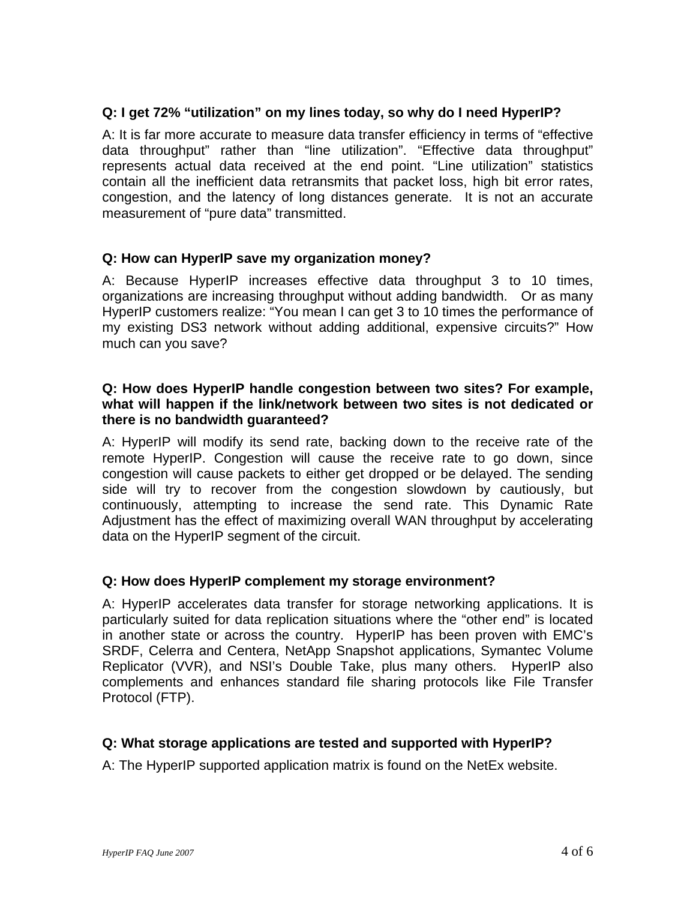## **Q: I get 72% "utilization" on my lines today, so why do I need HyperIP?**

A: It is far more accurate to measure data transfer efficiency in terms of "effective data throughput" rather than "line utilization". "Effective data throughput" represents actual data received at the end point. "Line utilization" statistics contain all the inefficient data retransmits that packet loss, high bit error rates, congestion, and the latency of long distances generate. It is not an accurate measurement of "pure data" transmitted.

## **Q: How can HyperIP save my organization money?**

A: Because HyperIP increases effective data throughput 3 to 10 times, organizations are increasing throughput without adding bandwidth. Or as many HyperIP customers realize: "You mean I can get 3 to 10 times the performance of my existing DS3 network without adding additional, expensive circuits?" How much can you save?

## **Q: How does HyperIP handle congestion between two sites? For example, what will happen if the link/network between two sites is not dedicated or there is no bandwidth guaranteed?**

A: HyperIP will modify its send rate, backing down to the receive rate of the remote HyperIP. Congestion will cause the receive rate to go down, since congestion will cause packets to either get dropped or be delayed. The sending side will try to recover from the congestion slowdown by cautiously, but continuously, attempting to increase the send rate. This Dynamic Rate Adjustment has the effect of maximizing overall WAN throughput by accelerating data on the HyperIP segment of the circuit.

## **Q: How does HyperIP complement my storage environment?**

A: HyperIP accelerates data transfer for storage networking applications. It is particularly suited for data replication situations where the "other end" is located in another state or across the country. HyperIP has been proven with EMC's SRDF, Celerra and Centera, NetApp Snapshot applications, Symantec Volume Replicator (VVR), and NSI's Double Take, plus many others. HyperIP also complements and enhances standard file sharing protocols like File Transfer Protocol (FTP).

## **Q: What storage applications are tested and supported with HyperIP?**

A: The HyperIP supported application matrix is found on the NetEx website.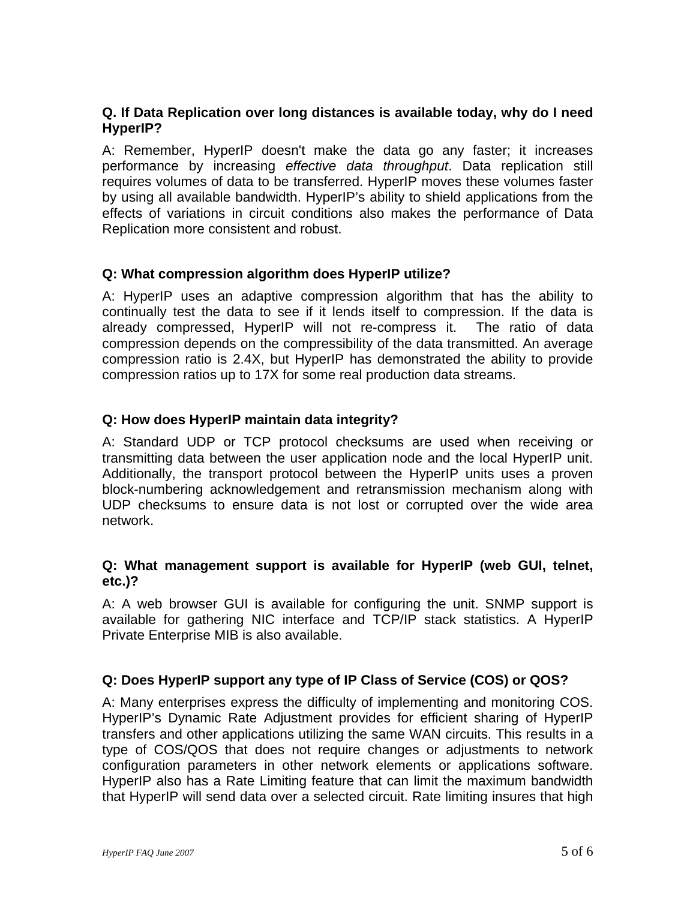## **Q. If Data Replication over long distances is available today, why do I need HyperIP?**

A: Remember, HyperIP doesn't make the data go any faster; it increases performance by increasing *effective data throughput*. Data replication still requires volumes of data to be transferred. HyperIP moves these volumes faster by using all available bandwidth. HyperIP's ability to shield applications from the effects of variations in circuit conditions also makes the performance of Data Replication more consistent and robust.

## **Q: What compression algorithm does HyperIP utilize?**

A: HyperIP uses an adaptive compression algorithm that has the ability to continually test the data to see if it lends itself to compression. If the data is already compressed, HyperIP will not re-compress it. The ratio of data compression depends on the compressibility of the data transmitted. An average compression ratio is 2.4X, but HyperIP has demonstrated the ability to provide compression ratios up to 17X for some real production data streams.

## **Q: How does HyperIP maintain data integrity?**

A: Standard UDP or TCP protocol checksums are used when receiving or transmitting data between the user application node and the local HyperIP unit. Additionally, the transport protocol between the HyperIP units uses a proven block-numbering acknowledgement and retransmission mechanism along with UDP checksums to ensure data is not lost or corrupted over the wide area network.

## **Q: What management support is available for HyperIP (web GUI, telnet, etc.)?**

A: A web browser GUI is available for configuring the unit. SNMP support is available for gathering NIC interface and TCP/IP stack statistics. A HyperIP Private Enterprise MIB is also available.

# **Q: Does HyperIP support any type of IP Class of Service (COS) or QOS?**

A: Many enterprises express the difficulty of implementing and monitoring COS. HyperIP's Dynamic Rate Adjustment provides for efficient sharing of HyperIP transfers and other applications utilizing the same WAN circuits. This results in a type of COS/QOS that does not require changes or adjustments to network configuration parameters in other network elements or applications software. HyperIP also has a Rate Limiting feature that can limit the maximum bandwidth that HyperIP will send data over a selected circuit. Rate limiting insures that high